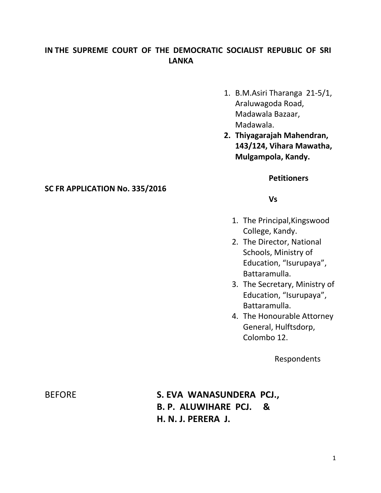# **IN THE SUPREME COURT OF THE DEMOCRATIC SOCIALIST REPUBLIC OF SRI LANKA**

- 1. B.M.Asiri Tharanga 21-5/1, Araluwagoda Road, Madawala Bazaar, Madawala.
- **2. Thiyagarajah Mahendran, 143/124, Vihara Mawatha, Mulgampola, Kandy.**

## **Petitioners**

### **Vs**

- 1. The Principal,Kingswood College, Kandy.
- 2. The Director, National Schools, Ministry of Education, "Isurupaya", Battaramulla.
- 3. The Secretary, Ministry of Education, "Isurupaya", Battaramulla.
- 4. The Honourable Attorney General, Hulftsdorp, Colombo 12.

Respondents

**SC FR APPLICATION No. 335/2016** 

BEFORE **S. EVA WANASUNDERA PCJ., B. P. ALUWIHARE PCJ. & H. N. J. PERERA J.**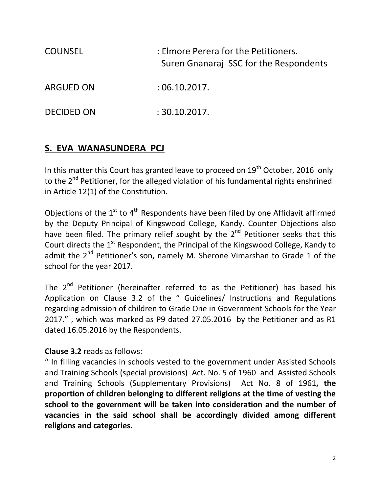| <b>COUNSEL</b>    | : Elmore Perera for the Petitioners.<br>Suren Gnanaraj SSC for the Respondents |
|-------------------|--------------------------------------------------------------------------------|
| <b>ARGUED ON</b>  | :06.10.2017.                                                                   |
| <b>DECIDED ON</b> | : 30.10.2017.                                                                  |

# **S. EVA WANASUNDERA PCJ**

In this matter this Court has granted leave to proceed on  $19<sup>th</sup>$  October, 2016 only to the 2<sup>nd</sup> Petitioner, for the alleged violation of his fundamental rights enshrined in Article 12(1) of the Constitution.

Objections of the  $1<sup>st</sup>$  to  $4<sup>th</sup>$  Respondents have been filed by one Affidavit affirmed by the Deputy Principal of Kingswood College, Kandy. Counter Objections also have been filed. The primary relief sought by the  $2<sup>nd</sup>$  Petitioner seeks that this Court directs the 1<sup>st</sup> Respondent, the Principal of the Kingswood College, Kandy to admit the 2<sup>nd</sup> Petitioner's son, namely M. Sherone Vimarshan to Grade 1 of the school for the year 2017.

The  $2^{nd}$  Petitioner (hereinafter referred to as the Petitioner) has based his Application on Clause 3.2 of the " Guidelines/ Instructions and Regulations regarding admission of children to Grade One in Government Schools for the Year 2017." , which was marked as P9 dated 27.05.2016 by the Petitioner and as R1 dated 16.05.2016 by the Respondents.

# **Clause 3.2** reads as follows:

" In filling vacancies in schools vested to the government under Assisted Schools and Training Schools (special provisions) Act. No. 5 of 1960 and Assisted Schools and Training Schools (Supplementary Provisions) Act No. 8 of 1961**, the proportion of children belonging to different religions at the time of vesting the school to the government will be taken into consideration and the number of vacancies in the said school shall be accordingly divided among different religions and categories.**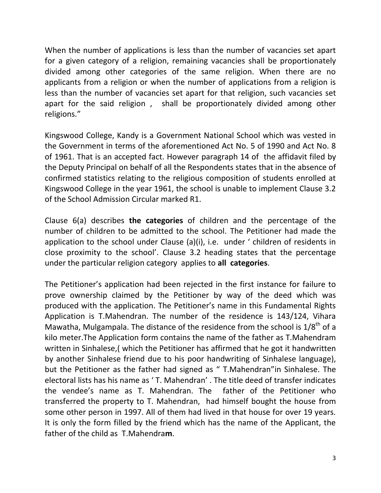When the number of applications is less than the number of vacancies set apart for a given category of a religion, remaining vacancies shall be proportionately divided among other categories of the same religion. When there are no applicants from a religion or when the number of applications from a religion is less than the number of vacancies set apart for that religion, such vacancies set apart for the said religion , shall be proportionately divided among other religions."

Kingswood College, Kandy is a Government National School which was vested in the Government in terms of the aforementioned Act No. 5 of 1990 and Act No. 8 of 1961. That is an accepted fact. However paragraph 14 of the affidavit filed by the Deputy Principal on behalf of all the Respondents states that in the absence of confirmed statistics relating to the religious composition of students enrolled at Kingswood College in the year 1961, the school is unable to implement Clause 3.2 of the School Admission Circular marked R1.

Clause 6(a) describes **the categories** of children and the percentage of the number of children to be admitted to the school. The Petitioner had made the application to the school under Clause (a)(i), i.e. under ' children of residents in close proximity to the school'. Clause 3.2 heading states that the percentage under the particular religion category applies to **all categories**.

The Petitioner's application had been rejected in the first instance for failure to prove ownership claimed by the Petitioner by way of the deed which was produced with the application. The Petitioner's name in this Fundamental Rights Application is T.Mahendran. The number of the residence is 143/124, Vihara Mawatha, Mulgampala. The distance of the residence from the school is  $1/8^{th}$  of a kilo meter.The Application form contains the name of the father as T.Mahendram written in Sinhalese,( which the Petitioner has affirmed that he got it handwritten by another Sinhalese friend due to his poor handwriting of Sinhalese language), but the Petitioner as the father had signed as " T.Mahendran"in Sinhalese. The electoral lists has his name as ' T. Mahendran' . The title deed of transfer indicates the vendee's name as T. Mahendran. The father of the Petitioner who transferred the property to T. Mahendran, had himself bought the house from some other person in 1997. All of them had lived in that house for over 19 years. It is only the form filled by the friend which has the name of the Applicant, the father of the child as T.Mahendra**m**.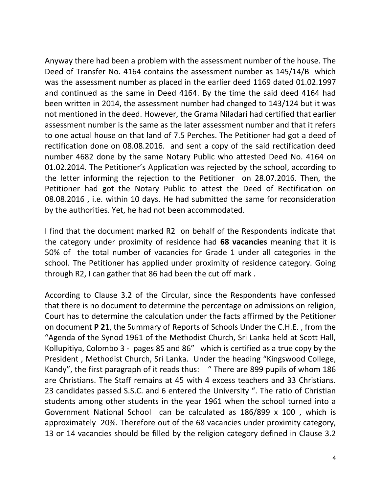Anyway there had been a problem with the assessment number of the house. The Deed of Transfer No. 4164 contains the assessment number as 145/14/B which was the assessment number as placed in the earlier deed 1169 dated 01.02.1997 and continued as the same in Deed 4164. By the time the said deed 4164 had been written in 2014, the assessment number had changed to 143/124 but it was not mentioned in the deed. However, the Grama Niladari had certified that earlier assessment number is the same as the later assessment number and that it refers to one actual house on that land of 7.5 Perches. The Petitioner had got a deed of rectification done on 08.08.2016. and sent a copy of the said rectification deed number 4682 done by the same Notary Public who attested Deed No. 4164 on 01.02.2014. The Petitioner's Application was rejected by the school, according to the letter informing the rejection to the Petitioner on 28.07.2016. Then, the Petitioner had got the Notary Public to attest the Deed of Rectification on 08.08.2016 , i.e. within 10 days. He had submitted the same for reconsideration by the authorities. Yet, he had not been accommodated.

I find that the document marked R2 on behalf of the Respondents indicate that the category under proximity of residence had **68 vacancies** meaning that it is 50% of the total number of vacancies for Grade 1 under all categories in the school. The Petitioner has applied under proximity of residence category. Going through R2, I can gather that 86 had been the cut off mark .

According to Clause 3.2 of the Circular, since the Respondents have confessed that there is no document to determine the percentage on admissions on religion, Court has to determine the calculation under the facts affirmed by the Petitioner on document **P 21**, the Summary of Reports of Schools Under the C.H.E. , from the "Agenda of the Synod 1961 of the Methodist Church, Sri Lanka held at Scott Hall, Kollupitiya, Colombo 3 - pages 85 and 86" which is certified as a true copy by the President , Methodist Church, Sri Lanka. Under the heading "Kingswood College, Kandy", the first paragraph of it reads thus: " There are 899 pupils of whom 186 are Christians. The Staff remains at 45 with 4 excess teachers and 33 Christians. 23 candidates passed S.S.C. and 6 entered the University ". The ratio of Christian students among other students in the year 1961 when the school turned into a Government National School can be calculated as 186/899 x 100 , which is approximately 20%. Therefore out of the 68 vacancies under proximity category, 13 or 14 vacancies should be filled by the religion category defined in Clause 3.2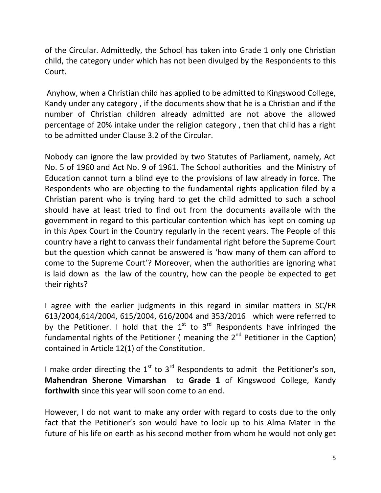of the Circular. Admittedly, the School has taken into Grade 1 only one Christian child, the category under which has not been divulged by the Respondents to this Court.

Anyhow, when a Christian child has applied to be admitted to Kingswood College, Kandy under any category , if the documents show that he is a Christian and if the number of Christian children already admitted are not above the allowed percentage of 20% intake under the religion category , then that child has a right to be admitted under Clause 3.2 of the Circular.

Nobody can ignore the law provided by two Statutes of Parliament, namely, Act No. 5 of 1960 and Act No. 9 of 1961. The School authorities and the Ministry of Education cannot turn a blind eye to the provisions of law already in force. The Respondents who are objecting to the fundamental rights application filed by a Christian parent who is trying hard to get the child admitted to such a school should have at least tried to find out from the documents available with the government in regard to this particular contention which has kept on coming up in this Apex Court in the Country regularly in the recent years. The People of this country have a right to canvass their fundamental right before the Supreme Court but the question which cannot be answered is 'how many of them can afford to come to the Supreme Court'? Moreover, when the authorities are ignoring what is laid down as the law of the country, how can the people be expected to get their rights?

I agree with the earlier judgments in this regard in similar matters in SC/FR 613/2004,614/2004, 615/2004, 616/2004 and 353/2016 which were referred to by the Petitioner. I hold that the  $1<sup>st</sup>$  to  $3<sup>rd</sup>$  Respondents have infringed the fundamental rights of the Petitioner ( meaning the  $2<sup>nd</sup>$  Petitioner in the Caption) contained in Article 12(1) of the Constitution.

I make order directing the  $1<sup>st</sup>$  to  $3<sup>rd</sup>$  Respondents to admit the Petitioner's son, **Mahendran Sherone Vimarshan** to **Grade 1** of Kingswood College, Kandy **forthwith** since this year will soon come to an end.

However, I do not want to make any order with regard to costs due to the only fact that the Petitioner's son would have to look up to his Alma Mater in the future of his life on earth as his second mother from whom he would not only get